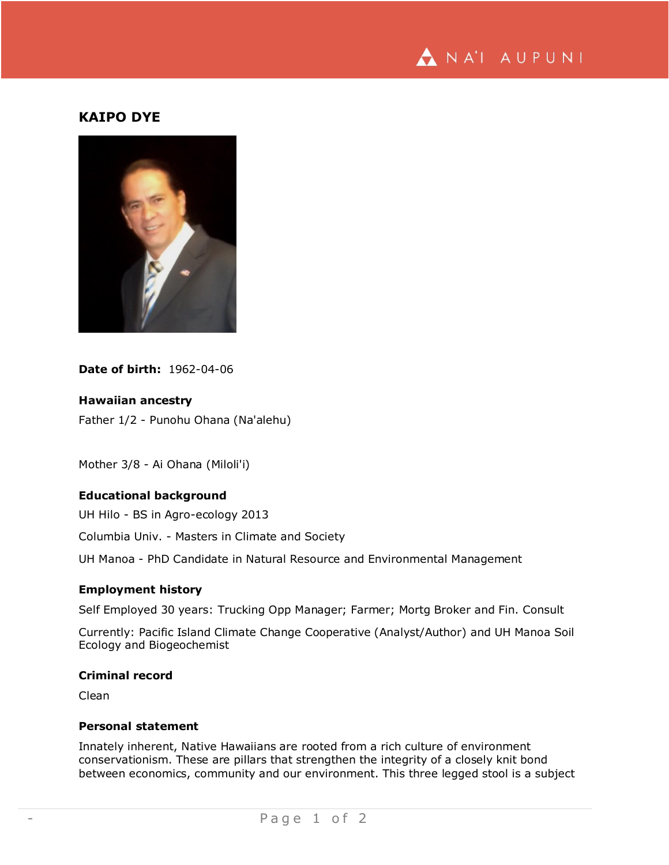

# **KAIPO DYE**



**Date of birth:** 1962-04-06

#### **Hawaiian ancestry**

Father 1/2 - Punohu Ohana (Na'alehu)

Mother 3/8 - Ai Ohana (Miloli'i)

# **Educational background**

UH Hilo - BS in Agro-ecology 2013

Columbia Univ. - Masters in Climate and Society

UH Manoa - PhD Candidate in Natural Resource and Environmental Management

# **Employment history**

Self Employed 30 years: Trucking Opp Manager; Farmer; Mortg Broker and Fin. Consult

Currently: Pacific Island Climate Change Cooperative (Analyst/Author) and UH Manoa Soil Ecology and Biogeochemist

#### **Criminal record**

Clean

#### **Personal statement**

Innately inherent, Native Hawaiians are rooted from a rich culture of environment conservationism. These are pillars that strengthen the integrity of a closely knit bond between economics, community and our environment. This three legged stool is a subject